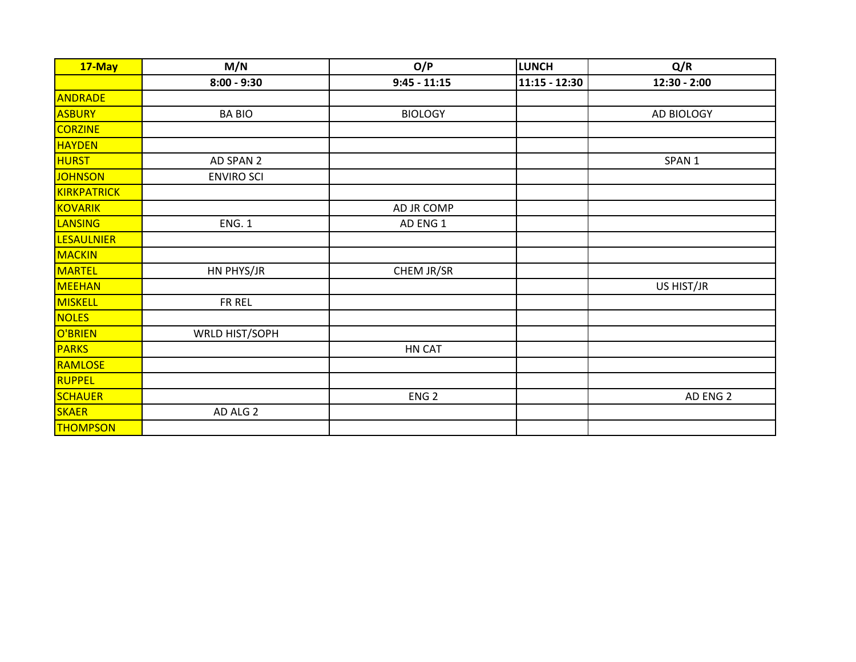| 17-May            | M/N               | O/P              | <b>LUNCH</b>    | Q/R               |
|-------------------|-------------------|------------------|-----------------|-------------------|
|                   | $8:00 - 9:30$     | $9:45 - 11:15$   | $11:15 - 12:30$ | 12:30 - 2:00      |
| ANDRADE           |                   |                  |                 |                   |
| <b>ASBURY</b>     | <b>BA BIO</b>     | <b>BIOLOGY</b>   |                 | AD BIOLOGY        |
| <b>CORZINE</b>    |                   |                  |                 |                   |
| <b>HAYDEN</b>     |                   |                  |                 |                   |
| <b>HURST</b>      | AD SPAN 2         |                  |                 | SPAN <sub>1</sub> |
| <b>JOHNSON</b>    | <b>ENVIRO SCI</b> |                  |                 |                   |
| KIRKPATRICK       |                   |                  |                 |                   |
| <b>KOVARIK</b>    |                   | AD JR COMP       |                 |                   |
| <b>LANSING</b>    | <b>ENG. 1</b>     | AD ENG 1         |                 |                   |
| <b>LESAULNIER</b> |                   |                  |                 |                   |
| <b>MACKIN</b>     |                   |                  |                 |                   |
| <b>MARTEL</b>     | HN PHYS/JR        | CHEM JR/SR       |                 |                   |
| <b>MEEHAN</b>     |                   |                  |                 | US HIST/JR        |
| MISKELL           | FR REL            |                  |                 |                   |
| <b>NOLES</b>      |                   |                  |                 |                   |
| O'BRIEN           | WRLD HIST/SOPH    |                  |                 |                   |
| <b>PARKS</b>      |                   | HN CAT           |                 |                   |
| RAMLOSE           |                   |                  |                 |                   |
| <b>RUPPEL</b>     |                   |                  |                 |                   |
| <b>SCHAUER</b>    |                   | ENG <sub>2</sub> |                 | AD ENG 2          |
| <b>SKAER</b>      | AD ALG 2          |                  |                 |                   |
| <b>THOMPSON</b>   |                   |                  |                 |                   |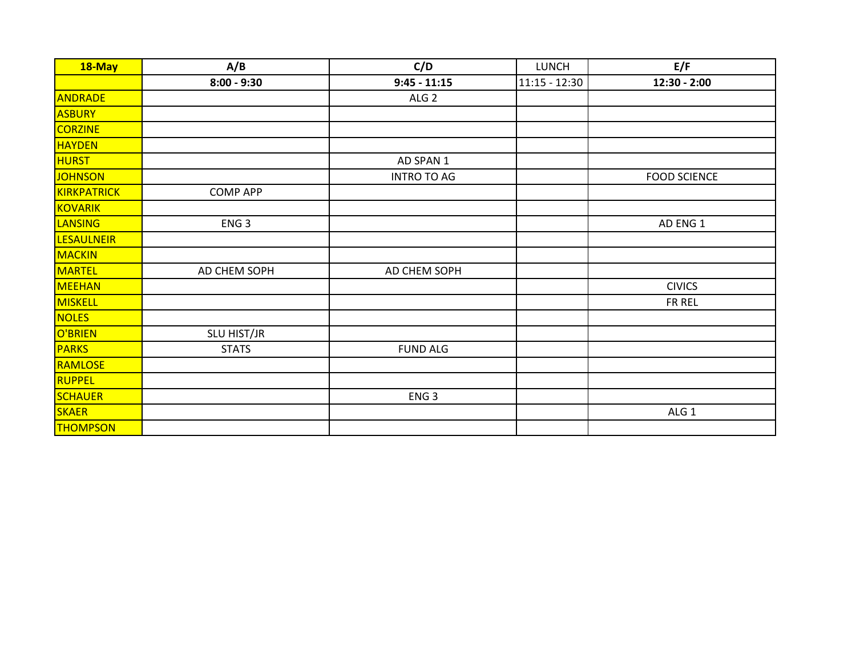| 18-May            | A/B              | C/D                | <b>LUNCH</b>    | E/F                 |
|-------------------|------------------|--------------------|-----------------|---------------------|
|                   | $8:00 - 9:30$    | $9:45 - 11:15$     | $11:15 - 12:30$ | 12:30 - 2:00        |
| <b>ANDRADE</b>    |                  | ALG <sub>2</sub>   |                 |                     |
| <b>ASBURY</b>     |                  |                    |                 |                     |
| <b>CORZINE</b>    |                  |                    |                 |                     |
| <b>HAYDEN</b>     |                  |                    |                 |                     |
| <b>HURST</b>      |                  | AD SPAN 1          |                 |                     |
| <b>JOHNSON</b>    |                  | <b>INTRO TO AG</b> |                 | <b>FOOD SCIENCE</b> |
| KIRKPATRICK       | <b>COMP APP</b>  |                    |                 |                     |
| <b>KOVARIK</b>    |                  |                    |                 |                     |
| <b>LANSING</b>    | ENG <sub>3</sub> |                    |                 | AD ENG 1            |
| <b>LESAULNEIR</b> |                  |                    |                 |                     |
| <b>MACKIN</b>     |                  |                    |                 |                     |
| <b>MARTEL</b>     | AD CHEM SOPH     | AD CHEM SOPH       |                 |                     |
| <b>MEEHAN</b>     |                  |                    |                 | <b>CIVICS</b>       |
| <b>MISKELL</b>    |                  |                    |                 | FR REL              |
| <b>NOLES</b>      |                  |                    |                 |                     |
| O'BRIEN           | SLU HIST/JR      |                    |                 |                     |
| <b>PARKS</b>      | <b>STATS</b>     | <b>FUND ALG</b>    |                 |                     |
| RAMLOSE           |                  |                    |                 |                     |
| RUPPEL            |                  |                    |                 |                     |
| <b>SCHAUER</b>    |                  | ENG <sub>3</sub>   |                 |                     |
| SKAER             |                  |                    |                 | ALG 1               |
| <b>THOMPSON</b>   |                  |                    |                 |                     |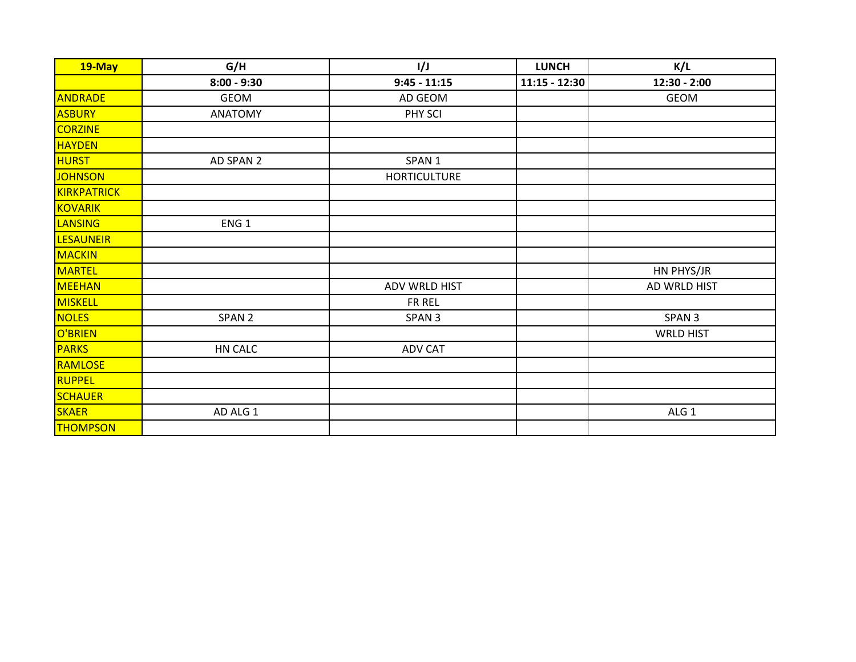| 19-May           | G/H               | 1/J                 | <b>LUNCH</b>    | K/L               |
|------------------|-------------------|---------------------|-----------------|-------------------|
|                  | $8:00 - 9:30$     | $9:45 - 11:15$      | $11:15 - 12:30$ | $12:30 - 2:00$    |
| <b>ANDRADE</b>   | <b>GEOM</b>       | AD GEOM             |                 | <b>GEOM</b>       |
| <b>ASBURY</b>    | <b>ANATOMY</b>    | PHY SCI             |                 |                   |
| <b>CORZINE</b>   |                   |                     |                 |                   |
| <b>HAYDEN</b>    |                   |                     |                 |                   |
| <b>HURST</b>     | AD SPAN 2         | SPAN <sub>1</sub>   |                 |                   |
| <b>JOHNSON</b>   |                   | <b>HORTICULTURE</b> |                 |                   |
| KIRKPATRICK      |                   |                     |                 |                   |
| <b>KOVARIK</b>   |                   |                     |                 |                   |
| <b>LANSING</b>   | ENG <sub>1</sub>  |                     |                 |                   |
| <b>LESAUNEIR</b> |                   |                     |                 |                   |
| <b>MACKIN</b>    |                   |                     |                 |                   |
| <b>MARTEL</b>    |                   |                     |                 | HN PHYS/JR        |
| <b>MEEHAN</b>    |                   | ADV WRLD HIST       |                 | AD WRLD HIST      |
| MISKELL          |                   | FR REL              |                 |                   |
| <b>NOLES</b>     | SPAN <sub>2</sub> | SPAN <sub>3</sub>   |                 | SPAN <sub>3</sub> |
| O'BRIEN          |                   |                     |                 | <b>WRLD HIST</b>  |
| <b>PARKS</b>     | HN CALC           | <b>ADV CAT</b>      |                 |                   |
| RAMLOSE          |                   |                     |                 |                   |
| <b>RUPPEL</b>    |                   |                     |                 |                   |
| <b>SCHAUER</b>   |                   |                     |                 |                   |
| <b>SKAER</b>     | AD ALG 1          |                     |                 | ALG <sub>1</sub>  |
| <b>THOMPSON</b>  |                   |                     |                 |                   |